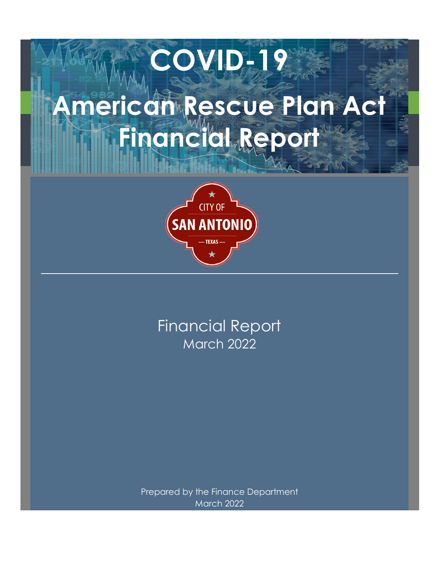# **American Rescue Plan Act Financial Report**

**COVID-19**



March 2022 Financial Report

Prepared by the Finance Department March 2022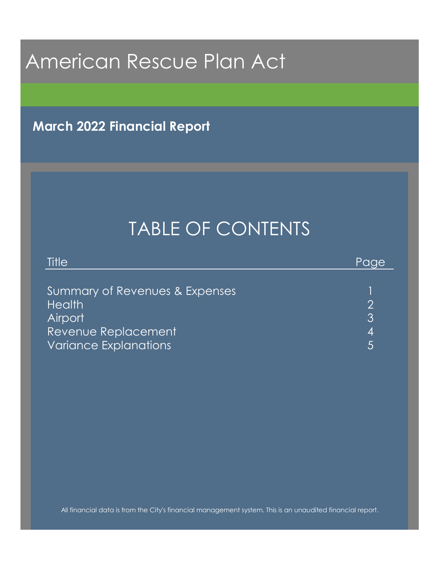**March 2022 Financial Report**

# TABLE OF CONTENTS

| Title                          | Paae |
|--------------------------------|------|
|                                |      |
| Summary of Revenues & Expenses |      |
| <b>Health</b>                  |      |
| <b>Airport</b>                 | 3    |
| Revenue Replacement            | 4    |
| <b>Variance Explanations</b>   |      |

All financial data is from the City's financial management system. This is an unaudited financial report.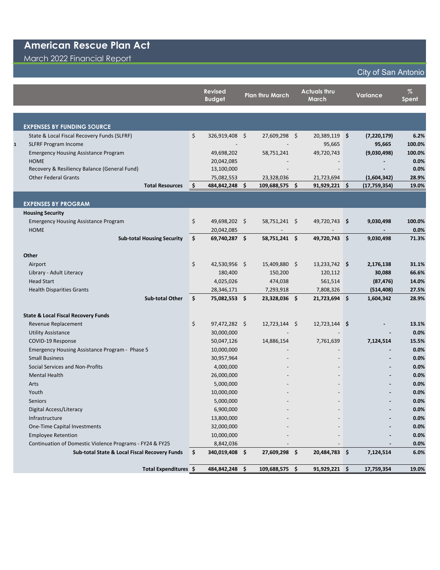## March 2022 Financial Report

## City of San Antonio

|                                                          |     | <b>Revised</b><br><b>Budget</b> | <b>Plan thru March</b> | <b>Actuals thru</b><br>March | <b>Variance</b> | $\%$<br>Spent |
|----------------------------------------------------------|-----|---------------------------------|------------------------|------------------------------|-----------------|---------------|
|                                                          |     |                                 |                        |                              |                 |               |
|                                                          |     |                                 |                        |                              |                 |               |
| <b>EXPENSES BY FUNDING SOURCE</b>                        |     |                                 |                        |                              |                 |               |
| State & Local Fiscal Recovery Funds (SLFRF)              | \$  | 326,919,408 \$                  | 27,609,298 \$          | 20,389,119 \$                | (7, 220, 179)   | 6.2%          |
| <b>SLFRF Program Income</b><br>1                         |     |                                 |                        | 95,665                       | 95,665          | 100.0%        |
| <b>Emergency Housing Assistance Program</b>              |     | 49,698,202                      | 58,751,241             | 49,720,743                   | (9,030,498)     | 100.0%        |
| <b>HOME</b>                                              |     | 20,042,085                      |                        |                              |                 | 0.0%          |
| Recovery & Resiliency Balance (General Fund)             |     | 13,100,000                      |                        |                              |                 | 0.0%          |
| <b>Other Federal Grants</b>                              |     | 75,082,553                      | 23,328,036             | 21,723,694                   | (1,604,342)     | 28.9%         |
| <b>Total Resources</b>                                   | \$  | 484,842,248 \$                  | 109,688,575            | \$<br>91,929,221 \$          | (17, 759, 354)  | 19.0%         |
|                                                          |     |                                 |                        |                              |                 |               |
| <b>EXPENSES BY PROGRAM</b>                               |     |                                 |                        |                              |                 |               |
| <b>Housing Security</b>                                  |     |                                 |                        |                              |                 |               |
| <b>Emergency Housing Assistance Program</b>              | \$  | 49,698,202 \$                   | 58,751,241 \$          | 49,720,743 \$                | 9,030,498       | 100.0%        |
| <b>HOME</b>                                              |     | 20,042,085                      |                        |                              |                 | 0.0%          |
| <b>Sub-total Housing Security</b>                        | \$  | 69,740,287 \$                   | 58,751,241 \$          | 49,720,743 \$                | 9,030,498       | 71.3%         |
|                                                          |     |                                 |                        |                              |                 |               |
| Other                                                    |     |                                 |                        |                              |                 |               |
| Airport                                                  | \$  | 42,530,956 \$                   | 15,409,880 \$          | 13,233,742 \$                | 2,176,138       | 31.1%         |
| Library - Adult Literacy                                 |     | 180,400                         | 150,200                | 120,112                      | 30,088          | 66.6%         |
| <b>Head Start</b>                                        |     | 4,025,026                       | 474,038                | 561,514                      | (87, 476)       | 14.0%         |
| <b>Health Disparities Grants</b>                         |     | 28,346,171                      | 7,293,918              | 7,808,326                    | (514, 408)      | 27.5%         |
| <b>Sub-total Other</b>                                   | \$  | 75,082,553 \$                   | 23,328,036 \$          | 21,723,694 \$                | 1,604,342       | 28.9%         |
| <b>State &amp; Local Fiscal Recovery Funds</b>           |     |                                 |                        |                              |                 |               |
| Revenue Replacement                                      | \$  | 97,472,282 \$                   | $12,723,144$ \$        | 12,723,144 \$                |                 | 13.1%         |
| <b>Utility Assistance</b>                                |     | 30,000,000                      |                        |                              |                 | 0.0%          |
| COVID-19 Response                                        |     | 50,047,126                      | 14,886,154             | 7,761,639                    | 7,124,514       | 15.5%         |
| Emergency Housing Assistance Program - Phase 5           |     | 10,000,000                      |                        |                              |                 | 0.0%          |
| <b>Small Business</b>                                    |     | 30,957,964                      |                        |                              |                 | 0.0%          |
| Social Services and Non-Profits                          |     | 4,000,000                       |                        |                              |                 | 0.0%          |
| <b>Mental Health</b>                                     |     | 26,000,000                      |                        |                              |                 | 0.0%          |
| Arts                                                     |     | 5,000,000                       |                        |                              |                 | 0.0%          |
| Youth                                                    |     | 10,000,000                      |                        |                              |                 | 0.0%          |
| <b>Seniors</b>                                           |     | 5,000,000                       |                        |                              |                 | 0.0%          |
| Digital Access/Literacy                                  |     | 6,900,000                       |                        |                              |                 | 0.0%          |
| Infrastructure                                           |     | 13,800,000                      |                        |                              |                 | 0.0%          |
| One-Time Capital Investments                             |     | 32,000,000                      |                        |                              |                 | 0.0%          |
| <b>Employee Retention</b>                                |     | 10,000,000                      |                        |                              |                 | 0.0%          |
| Continuation of Domestic Violence Programs - FY24 & FY25 |     | 8,842,036                       |                        |                              |                 | 0.0%          |
| Sub-total State & Local Fiscal Recovery Funds            | \$. | 340,019,408 \$                  | 27,609,298 \$          | 20,484,783 \$                | 7,124,514       | 6.0%          |
|                                                          |     |                                 |                        |                              |                 |               |
| Total Expenditures \$                                    |     | 484,842,248 \$                  | 109,688,575 \$         | 91,929,221 \$                | 17,759,354      | 19.0%         |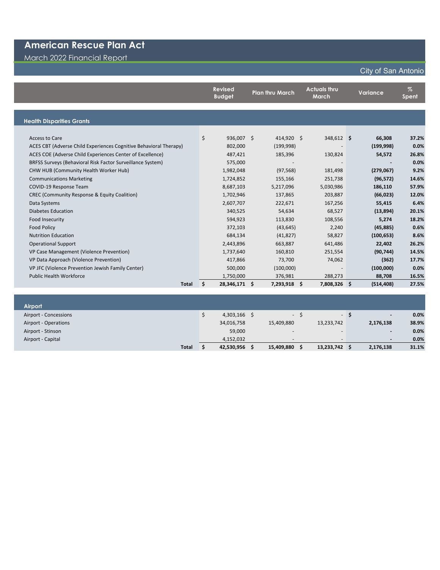March 2022 Financial Report

#### **Revised Budget Plan thru March Actuals thru March Variance % Spent Health Disparities Grants** Access to Care \$ 936,007 \$ 414,920 \$ 348,612 **\$ 66,308 37.2%** ACES CBT (Adverse Child Experiences Cognitive Behavioral Therapy) 802,000 (199,998) - **(199,998) 0.0%** ACES COE (Adverse Child Experiences Center of Excellence) 487,421 185,396 130,824 **54,572 26.8%** BRFSS Surveys (Behavioral Risk Factor Surveillance System) 575,000 - - **- 0.0%** CHW HUB (Community Health Worker Hub) 1,982,048 (97,568) 181,498 **(279,067) 9.2%** Communications Marketing 1,724,852 155,166 251,738 **(96,572) 14.6%** COVID-19 Response Team 8,687,103 5,217,096 5,030,986 **186,110 57.9%** CREC (Community Response & Equity Coalition) 1,702,946 137,865 203,887 **(66,023) 12.0%** Data Systems 2,607,707 222,671 167,256 **55,415 6.4%** Diabetes Education 340,525 54,634 68,527 **(13,894) 20.1%** Food Insecurity 594,923 113,830 108,556 **5,274 18.2%** Food Policy 372,103 (43,645) 2,240 **(45,885) 0.6%** Nutrition Education 684,134 (41,827) 58,827 **(100,653) 8.6%** Operational Support 2,443,896 663,887 641,486 **22,402 26.2%** VP Case Management (Violence Prevention) 1,737,640 160,810 251,554 **(90,744) 14.5%** VP Data Approach (Violence Prevention) 417,866 73,700 74,062 **(362) 17.7%** VP JFC (Violence Prevention Jewish Family Center) 500,000 (100,000) - **(100,000) 0.0%** Public Health Workforce 1,750,000 376,981 288,273 **88,708 16.5% Total \$ 28,346,171 \$ 7,293,918 \$ 7,808,326 \$ (514,408) 27.5%**

| <b>Airport</b>        |            |                          |     |                          |     |                          |       |
|-----------------------|------------|--------------------------|-----|--------------------------|-----|--------------------------|-------|
| Airport - Concessions | 4,303,166  |                          | - 5 |                          | - 5 | $\overline{\phantom{a}}$ | 0.0%  |
| Airport - Operations  | 34,016,758 | 15,409,880               |     | 13,233,742               |     | 2,176,138                | 38.9% |
| Airport - Stinson     | 59,000     | $-$                      |     | $\overline{\phantom{0}}$ |     | $\overline{\phantom{a}}$ | 0.0%  |
| Airport - Capital     | 4,152,032  | $\overline{\phantom{a}}$ |     | $\overline{\phantom{0}}$ |     | $\qquad \qquad$          | 0.0%  |
| <b>Total</b>          | 42,530,956 | 15,409,880               |     | 13,233,742               |     | 2,176,138                | 31.1% |

#### City of San Antonio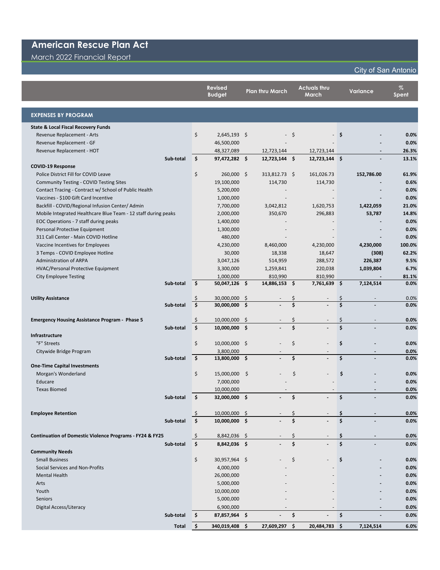March 2022 Financial Report

ı

## City of San Antonio

|                                                                     | <b>Revised</b><br><b>Budget</b> |      | <b>Plan thru March</b> |    | <b>Actuals thru</b><br>March |                    | <b>Variance</b> | $\%$<br><b>Spent</b> |
|---------------------------------------------------------------------|---------------------------------|------|------------------------|----|------------------------------|--------------------|-----------------|----------------------|
| <b>EXPENSES BY PROGRAM</b>                                          |                                 |      |                        |    |                              |                    |                 |                      |
| <b>State &amp; Local Fiscal Recovery Funds</b>                      |                                 |      |                        |    |                              |                    |                 |                      |
| Revenue Replacement - Arts                                          | \$<br>$2,645,193$ \$            |      |                        | \$ |                              | -\$                |                 | 0.0%                 |
| Revenue Replacement - GF                                            | 46,500,000                      |      |                        |    |                              |                    |                 | 0.0%                 |
| Revenue Replacement - HOT                                           | 48,327,089                      |      | 12,723,144             |    | 12,723,144                   |                    |                 | 26.3%                |
| Sub-total                                                           | \$<br>97,472,282 \$             |      | $12,723,144$ \$        |    | $12,723,144$ \$              |                    |                 | 13.1%                |
| <b>COVID-19 Response</b>                                            |                                 |      |                        |    |                              |                    |                 |                      |
| Police District Fill for COVID Leave                                | \$<br>260,000 \$                |      | 313,812.73 \$          |    | 161,026.73                   |                    | 152,786.00      | 61.9%                |
| <b>Community Testing - COVID Testing Sites</b>                      | 19,100,000                      |      | 114,730                |    | 114,730                      |                    |                 | 0.6%                 |
| Contact Tracing - Contract w/ School of Public Health               | 5,200,000                       |      |                        |    |                              |                    |                 | 0.0%                 |
| Vaccines - \$100 Gift Card Incentive                                | 1,000,000                       |      |                        |    |                              |                    |                 | 0.0%                 |
| Backfill - COVID/Regional Infusion Center/ Admin                    | 7,700,000                       |      | 3,042,812              |    | 1,620,753                    |                    | 1,422,059       | 21.0%                |
| Mobile Integrated Healthcare Blue Team - 12 staff during peaks      | 2,000,000                       |      | 350,670                |    | 296,883                      |                    | 53,787          | 14.8%                |
| EOC Operations - 7 staff during peaks                               | 1,400,000                       |      |                        |    |                              |                    |                 | 0.0%                 |
| Personal Protective Equipment                                       | 1,300,000                       |      |                        |    |                              |                    |                 | 0.0%                 |
| 311 Call Center - Main COVID Hotline                                | 480,000                         |      |                        |    |                              |                    |                 | 0.0%                 |
| Vaccine Incentives for Employees                                    | 4,230,000                       |      | 8,460,000              |    | 4,230,000                    |                    | 4,230,000       | 100.0%               |
| 3 Temps - COVID Employee Hotline                                    | 30,000                          |      | 18,338                 |    | 18,647                       |                    | (308)           | 62.2%                |
| <b>Administration of ARPA</b>                                       | 3,047,126                       |      | 514,959                |    | 288,572                      |                    | 226,387         | 9.5%                 |
| HVAC/Personal Protective Equipment                                  | 3,300,000                       |      | 1,259,841              |    | 220,038                      |                    | 1,039,804       | 6.7%                 |
| <b>City Employee Testing</b><br>Sub-total                           | \$<br>1,000,000                 |      | 810,990                |    | 810,990                      |                    |                 | 81.1%<br>0.0%        |
|                                                                     | 50,047,126 \$                   |      | 14,886,153             | \$ | 7,761,639 \$                 |                    | 7,124,514       |                      |
| <b>Utility Assistance</b>                                           | \$<br>30,000,000                | \$   |                        | \$ |                              | Ś                  |                 | 0.0%                 |
| Sub-total                                                           | \$<br>30,000,000                | \$   |                        | \$ |                              | Ś                  |                 | 0.0%                 |
|                                                                     |                                 |      |                        |    |                              |                    |                 |                      |
| <b>Emergency Housing Assistance Program - Phase 5</b>               | \$<br>10,000,000                | - \$ |                        | \$ |                              | \$                 |                 | 0.0%                 |
| Sub-total                                                           | \$<br>10,000,000 \$             |      |                        | \$ |                              | $\mathsf{\hat{S}}$ |                 | 0.0%                 |
| Infrastructure                                                      |                                 |      |                        |    |                              |                    |                 |                      |
| "F" Streets                                                         | \$<br>10,000,000 \$             |      |                        | \$ |                              | \$                 |                 | 0.0%                 |
| Citywide Bridge Program                                             | 3,800,000                       |      |                        |    |                              |                    |                 | 0.0%                 |
| Sub-total                                                           | \$<br>13,800,000 \$             |      |                        | \$ |                              | \$                 |                 | 0.0%                 |
| <b>One-Time Capital Investments</b>                                 |                                 |      |                        |    |                              |                    |                 |                      |
| Morgan's Wonderland                                                 | \$<br>15,000,000                | -\$  |                        | \$ |                              | \$                 |                 | 0.0%                 |
| Educare                                                             | 7,000,000                       |      |                        |    |                              |                    |                 | 0.0%                 |
| <b>Texas Biomed</b>                                                 | 10,000,000                      |      |                        |    |                              |                    |                 | 0.0%                 |
| Sub-total                                                           | \$<br>32,000,000 \$             |      |                        | \$ |                              | \$                 |                 | 0.0%                 |
|                                                                     |                                 |      |                        |    |                              |                    |                 |                      |
| <b>Employee Retention</b>                                           | \$<br>10,000,000 \$             |      |                        |    |                              |                    |                 | 0.0%                 |
| Sub-total                                                           | \$<br>10,000,000 \$             |      |                        | Ś  |                              | Ś                  |                 | 0.0%                 |
|                                                                     |                                 |      |                        |    |                              |                    |                 |                      |
| <b>Continuation of Domestic Violence Programs - FY24 &amp; FY25</b> | \$<br>8,842,036 \$              |      |                        | \$ |                              | Ş                  |                 | 0.0%                 |
| Sub-total                                                           | \$<br>8,842,036 \$              |      |                        | \$ |                              | \$                 |                 | 0.0%                 |
| <b>Community Needs</b>                                              |                                 |      |                        |    |                              |                    |                 |                      |
| <b>Small Business</b>                                               | \$<br>30,957,964 \$             |      |                        | \$ |                              | \$                 |                 | 0.0%                 |
| Social Services and Non-Profits                                     | 4,000,000                       |      |                        |    |                              |                    |                 | 0.0%                 |
| <b>Mental Health</b>                                                | 26,000,000                      |      |                        |    |                              |                    |                 | 0.0%                 |
| Arts                                                                | 5,000,000                       |      |                        |    |                              |                    |                 | 0.0%                 |
| Youth                                                               | 10,000,000                      |      |                        |    |                              |                    |                 | 0.0%                 |
| Seniors                                                             | 5,000,000                       |      |                        |    |                              |                    |                 | 0.0%                 |
| Digital Access/Literacy                                             | 6,900,000                       |      |                        |    |                              |                    |                 | 0.0%                 |
| Sub-total                                                           | \$<br>87,857,964 \$             |      |                        | \$ |                              | \$                 |                 | 0.0%                 |
| <b>Total</b>                                                        | \$<br>340,019,408 \$            |      | 27,609,297             | \$ | 20,484,783 \$                |                    | 7,124,514       | 6.0%                 |